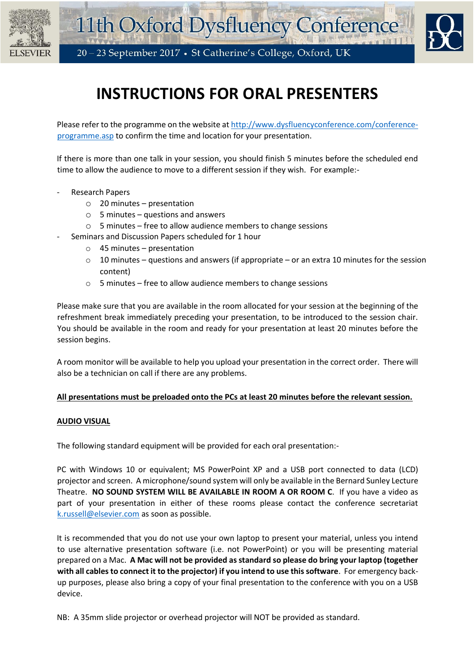





# **INSTRUCTIONS FOR ORAL PRESENTERS**

Please refer to the programme on the website a[t http://www.dysfluencyconference.com/conference](http://www.dysfluencyconference.com/conference-programme.asp)[programme.asp](http://www.dysfluencyconference.com/conference-programme.asp) to confirm the time and location for your presentation.

If there is more than one talk in your session, you should finish 5 minutes before the scheduled end time to allow the audience to move to a different session if they wish. For example:-

- Research Papers
	- $\circ$  20 minutes presentation
	- $\circ$  5 minutes questions and answers
	- o 5 minutes free to allow audience members to change sessions
	- Seminars and Discussion Papers scheduled for 1 hour
		- o 45 minutes presentation
		- $\circ$  10 minutes questions and answers (if appropriate or an extra 10 minutes for the session content)
		- o 5 minutes free to allow audience members to change sessions

Please make sure that you are available in the room allocated for your session at the beginning of the refreshment break immediately preceding your presentation, to be introduced to the session chair. You should be available in the room and ready for your presentation at least 20 minutes before the session begins.

A room monitor will be available to help you upload your presentation in the correct order. There will also be a technician on call if there are any problems.

### **All presentations must be preloaded onto the PCs at least 20 minutes before the relevant session.**

### **AUDIO VISUAL**

The following standard equipment will be provided for each oral presentation:-

PC with Windows 10 or equivalent; MS PowerPoint XP and a USB port connected to data (LCD) projector and screen. A microphone/sound system will only be available in the Bernard Sunley Lecture Theatre. **NO SOUND SYSTEM WILL BE AVAILABLE IN ROOM A OR ROOM C**. If you have a video as part of your presentation in either of these rooms please contact the conference secretariat [k.russell@elsevier.com](mailto:k.russell@elsevier.com) as soon as possible.

It is recommended that you do not use your own laptop to present your material, unless you intend to use alternative presentation software (i.e. not PowerPoint) or you will be presenting material prepared on a Mac. **A Mac will not be provided as standard so please do bring your laptop (together with all cables to connect it to the projector) if you intend to use this software**. For emergency backup purposes, please also bring a copy of your final presentation to the conference with you on a USB device.

NB: A 35mm slide projector or overhead projector will NOT be provided as standard.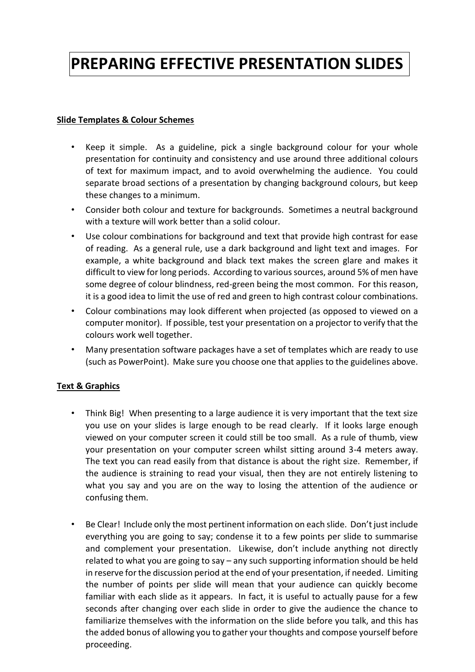# **PREPARING EFFECTIVE PRESENTATION SLIDES**

### **Slide Templates & Colour Schemes**

- Keep it simple. As a guideline, pick a single background colour for your whole presentation for continuity and consistency and use around three additional colours of text for maximum impact, and to avoid overwhelming the audience. You could separate broad sections of a presentation by changing background colours, but keep these changes to a minimum.
- Consider both colour and texture for backgrounds. Sometimes a neutral background with a texture will work better than a solid colour.
- Use colour combinations for background and text that provide high contrast for ease of reading. As a general rule, use a dark background and light text and images. For example, a white background and black text makes the screen glare and makes it difficult to view for long periods. According to various sources, around 5% of men have some degree of colour blindness, red-green being the most common. For this reason, it is a good idea to limit the use of red and green to high contrast colour combinations.
- Colour combinations may look different when projected (as opposed to viewed on a computer monitor). If possible, test your presentation on a projector to verify that the colours work well together.
- Many presentation software packages have a set of templates which are ready to use (such as PowerPoint). Make sure you choose one that applies to the guidelines above.

## **Text & Graphics**

- Think Big! When presenting to a large audience it is very important that the text size you use on your slides is large enough to be read clearly. If it looks large enough viewed on your computer screen it could still be too small. As a rule of thumb, view your presentation on your computer screen whilst sitting around 3-4 meters away. The text you can read easily from that distance is about the right size. Remember, if the audience is straining to read your visual, then they are not entirely listening to what you say and you are on the way to losing the attention of the audience or confusing them.
- Be Clear! Include only the most pertinent information on each slide. Don't just include everything you are going to say; condense it to a few points per slide to summarise and complement your presentation. Likewise, don't include anything not directly related to what you are going to say – any such supporting information should be held in reserve for the discussion period at the end of your presentation, if needed. Limiting the number of points per slide will mean that your audience can quickly become familiar with each slide as it appears. In fact, it is useful to actually pause for a few seconds after changing over each slide in order to give the audience the chance to familiarize themselves with the information on the slide before you talk, and this has the added bonus of allowing you to gather your thoughts and compose yourself before proceeding.